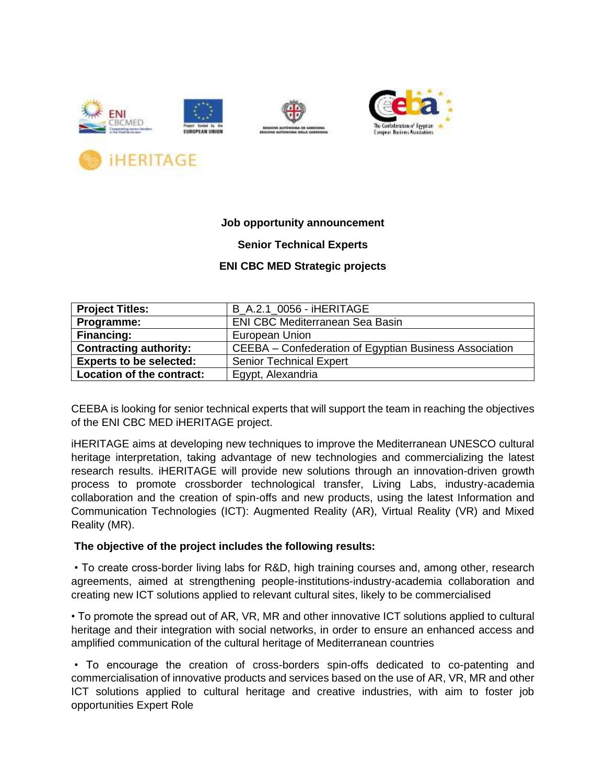



### **Job opportunity announcement**

### **Senior Technical Experts**

### **ENI CBC MED Strategic projects**

| <b>Project Titles:</b>         | <b>B A.2.1 0056 - IHERITAGE</b>                        |
|--------------------------------|--------------------------------------------------------|
| Programme:                     | ENI CBC Mediterranean Sea Basin                        |
| <b>Financing:</b>              | European Union                                         |
| <b>Contracting authority:</b>  | CEEBA – Confederation of Egyptian Business Association |
| <b>Experts to be selected:</b> | <b>Senior Technical Expert</b>                         |
| Location of the contract:      | Egypt, Alexandria                                      |

CEEBA is looking for senior technical experts that will support the team in reaching the objectives of the ENI CBC MED iHERITAGE project.

iHERITAGE aims at developing new techniques to improve the Mediterranean UNESCO cultural heritage interpretation, taking advantage of new technologies and commercializing the latest research results. iHERITAGE will provide new solutions through an innovation-driven growth process to promote crossborder technological transfer, Living Labs, industry-academia collaboration and the creation of spin-offs and new products, using the latest Information and Communication Technologies (ICT): Augmented Reality (AR), Virtual Reality (VR) and Mixed Reality (MR).

#### **The objective of the project includes the following results:**

• To create cross-border living labs for R&D, high training courses and, among other, research agreements, aimed at strengthening people-institutions-industry-academia collaboration and creating new ICT solutions applied to relevant cultural sites, likely to be commercialised

• To promote the spread out of AR, VR, MR and other innovative ICT solutions applied to cultural heritage and their integration with social networks, in order to ensure an enhanced access and amplified communication of the cultural heritage of Mediterranean countries

• To encourage the creation of cross-borders spin-offs dedicated to co-patenting and commercialisation of innovative products and services based on the use of AR, VR, MR and other ICT solutions applied to cultural heritage and creative industries, with aim to foster job opportunities Expert Role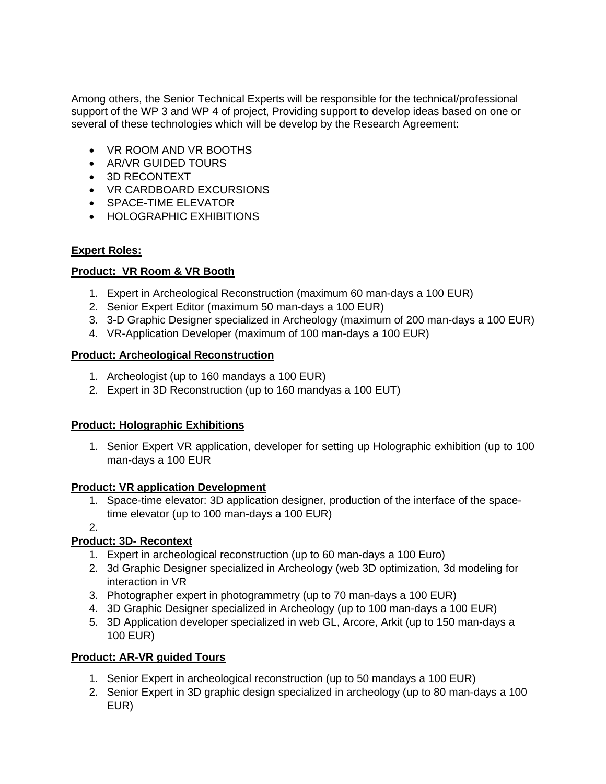Among others, the Senior Technical Experts will be responsible for the technical/professional support of the WP 3 and WP 4 of project, Providing support to develop ideas based on one or several of these technologies which will be develop by the Research Agreement:

- VR ROOM AND VR BOOTHS
- AR/VR GUIDED TOURS
- 3D RECONTEXT
- VR CARDBOARD EXCURSIONS
- SPACE-TIME ELEVATOR
- HOLOGRAPHIC EXHIBITIONS

# **Expert Roles:**

# **Product: VR Room & VR Booth**

- 1. Expert in Archeological Reconstruction (maximum 60 man-days a 100 EUR)
- 2. Senior Expert Editor (maximum 50 man-days a 100 EUR)
- 3. 3-D Graphic Designer specialized in Archeology (maximum of 200 man-days a 100 EUR)
- 4. VR-Application Developer (maximum of 100 man-days a 100 EUR)

# **Product: Archeological Reconstruction**

- 1. Archeologist (up to 160 mandays a 100 EUR)
- 2. Expert in 3D Reconstruction (up to 160 mandyas a 100 EUT)

# **Product: Holographic Exhibitions**

1. Senior Expert VR application, developer for setting up Holographic exhibition (up to 100 man-days a 100 EUR

# **Product: VR application Development**

1. Space-time elevator: 3D application designer, production of the interface of the spacetime elevator (up to 100 man-days a 100 EUR)

2.

# **Product: 3D- Recontext**

- 1. Expert in archeological reconstruction (up to 60 man-days a 100 Euro)
- 2. 3d Graphic Designer specialized in Archeology (web 3D optimization, 3d modeling for interaction in VR
- 3. Photographer expert in photogrammetry (up to 70 man-days a 100 EUR)
- 4. 3D Graphic Designer specialized in Archeology (up to 100 man-days a 100 EUR)
- 5. 3D Application developer specialized in web GL, Arcore, Arkit (up to 150 man-days a 100 EUR)

# **Product: AR-VR guided Tours**

- 1. Senior Expert in archeological reconstruction (up to 50 mandays a 100 EUR)
- 2. Senior Expert in 3D graphic design specialized in archeology (up to 80 man-days a 100 EUR)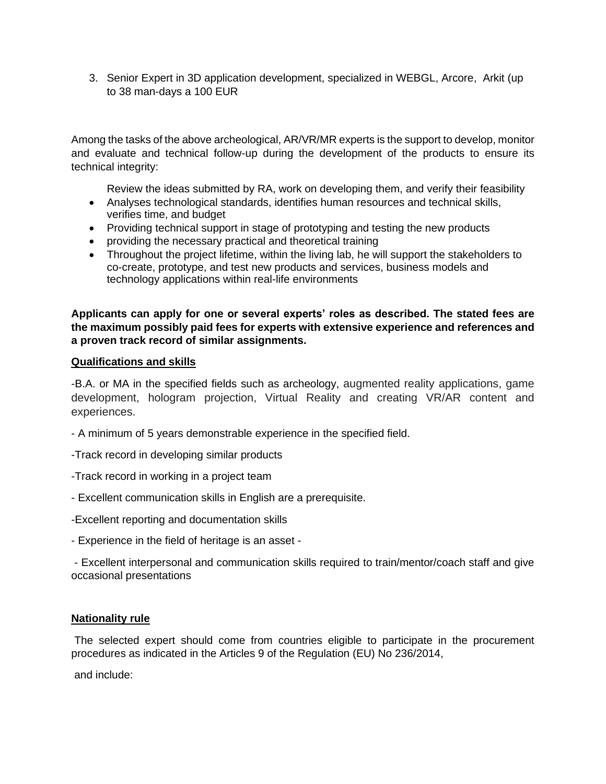3. Senior Expert in 3D application development, specialized in WEBGL, Arcore, Arkit (up to 38 man-days a 100 EUR

Among the tasks of the above archeological, AR/VR/MR experts is the support to develop, monitor and evaluate and technical follow-up during the development of the products to ensure its technical integrity:

• Review the ideas submitted by RA, work on developing them, and verify their feasibility

- Analyses technological standards, identifies human resources and technical skills, verifies time, and budget
- Providing technical support in stage of prototyping and testing the new products
- providing the necessary practical and theoretical training
- Throughout the project lifetime, within the living lab, he will support the stakeholders to co-create, prototype, and test new products and services, business models and technology applications within real-life environments

**Applicants can apply for one or several experts' roles as described. The stated fees are the maximum possibly paid fees for experts with extensive experience and references and a proven track record of similar assignments.**

#### **Qualifications and skills**

-B.A. or MA in the specified fields such as archeology, augmented reality applications, game development, hologram projection, Virtual Reality and creating VR/AR content and experiences.

- A minimum of 5 years demonstrable experience in the specified field.
- -Track record in developing similar products
- -Track record in working in a project team
- Excellent communication skills in English are a prerequisite.
- -Excellent reporting and documentation skills
- Experience in the field of heritage is an asset -

- Excellent interpersonal and communication skills required to train/mentor/coach staff and give occasional presentations

### **Nationality rule**

The selected expert should come from countries eligible to participate in the procurement procedures as indicated in the Articles 9 of the Regulation (EU) No 236/2014,

and include: